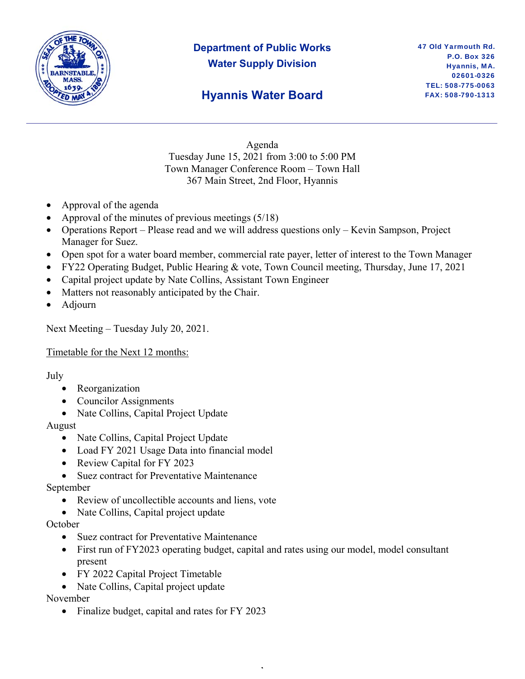

## **Department of Public Works Water Supply Division**

## **Hyannis Water Board**

Agenda Tuesday June 15, 2021 from 3:00 to 5:00 PM Town Manager Conference Room – Town Hall 367 Main Street, 2nd Floor, Hyannis

- Approval of the agenda
- Approval of the minutes of previous meetings (5/18)
- Operations Report Please read and we will address questions only Kevin Sampson, Project Manager for Suez.
- Open spot for a water board member, commercial rate payer, letter of interest to the Town Manager
- FY22 Operating Budget, Public Hearing & vote, Town Council meeting, Thursday, June 17, 2021
- Capital project update by Nate Collins, Assistant Town Engineer
- Matters not reasonably anticipated by the Chair.
- Adjourn

Next Meeting – Tuesday July 20, 2021.

#### Timetable for the Next 12 months:

#### July

- Reorganization
- Councilor Assignments
- Nate Collins, Capital Project Update

#### August

- Nate Collins, Capital Project Update
- Load FY 2021 Usage Data into financial model
- Review Capital for FY 2023
- Suez contract for Preventative Maintenance

#### September

- Review of uncollectible accounts and liens, vote
- Nate Collins, Capital project update

#### **October**

- Suez contract for Preventative Maintenance
- First run of FY2023 operating budget, capital and rates using our model, model consultant present

,

- FY 2022 Capital Project Timetable
- Nate Collins, Capital project update

November

• Finalize budget, capital and rates for FY 2023